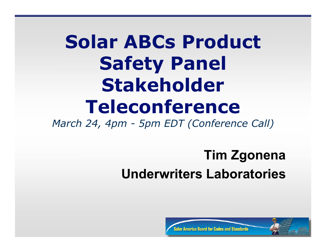# **Solar ABCs Product Safety Panel Stakeholder Teleconference**

*March 24, 4pm - 5pm EDT (Conference Call)*

#### **Tim Zgonena Underwriters Laboratories**



Inard for Codes and Standards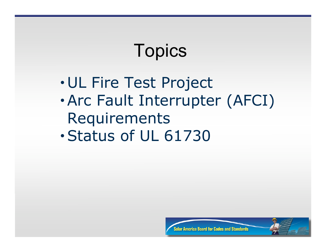#### **Topics**

- UL Fire Test Project
- •Arc Fault Interrupter (AFCI) Requirements
- •Status of UL 61730



erica Board for Codes and Standards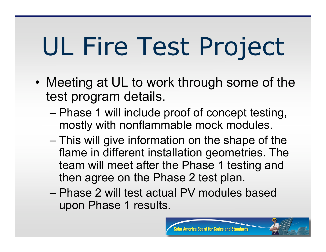# UL Fire Test Project

- Meeting at UL to work through some of the test program details.
	- Phase 1 will include proof of concept testing, mostly with nonflammable mock modules.
	- This will give information on the shape of the flame in different installation geometries. The team will meet after the Phase 1 testing and then agree on the Phase 2 test plan.
	- Phase 2 will test actual PV modules based upon Phase 1 results.

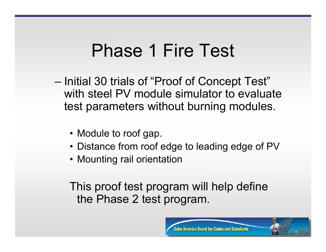#### Phase 1 Fire Test

- Initial 30 trials of "Proof of Concept Test" with steel PV module simulator to evaluate test parameters without burning modules.
	- Module to roof gap.
	- Distance from roof edge to leading edge of PV
	- Mounting rail orientation

This proof test program will help define the Phase 2 test program.

nard for Codes and St

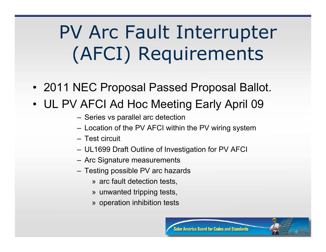## PV Arc Fault Interrupter (AFCI) Requirements

- 2011 NEC Proposal Passed Proposal Ballot.
- UL PV AFCI Ad Hoc Meeting Early April 09
	- Series vs parallel arc detection
	- Location of the PV AFCI within the PV wiring system
	- Test circuit
	- UL1699 Draft Outline of Investigation for PV AFCI
	- Arc Signature measurements
	- Testing possible PV arc hazards
		- » arc fault detection tests,
		- » unwanted tripping tests,
		- » operation inhibition tests

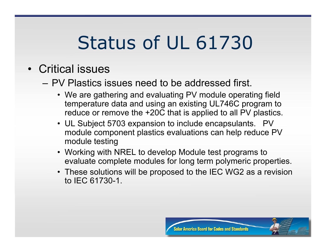### Status of UL 61730

- Critical issues
	- PV Plastics issues need to be addressed first.
		- We are gathering and evaluating PV module operating field temperature data and using an existing UL746C program to reduce or remove the +20C that is applied to all PV plastics.
		- UL Subject 5703 expansion to include encapsulants. PV module component plastics evaluations can help reduce PV module testing
		- Working with NREL to develop Module test programs to evaluate complete modules for long term polymeric properties.
		- These solutions will be proposed to the IEC WG2 as a revision to IEC 61730-1.